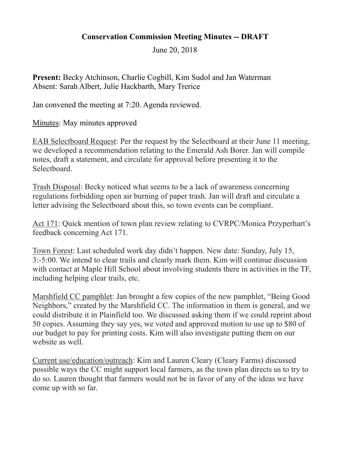## **Conservation Commission Meeting Minutes -- DRAFT**

June 20, 2018

**Present:** Becky Atchinson, Charlie Cogbill, Kim Sudol and Jan Waterman Absent: Sarah Albert, Julie Hackbarth, Mary Trerice

Jan convened the meeting at 7:20. Agenda reviewed.

Minutes: May minutes approved

EAB Selectboard Request: Per the request by the Selectboard at their June 11 meeting, we developed a recommendation relating to the Emerald Ash Borer. Jan will compile notes, draft a statement, and circulate for approval before presenting it to the Selectboard.

Trash Disposal: Becky noticed what seems to be a lack of awareness concerning regulations forbidding open air burning of paper trash. Jan will draft and circulate a letter advising the Selectboard about this, so town events can be compliant.

Act 171: Quick mention of town plan review relating to CVRPC/Monica Przyperhart's feedback concerning Act 171.

Town Forest: Last scheduled work day didn't happen. New date: Sunday, July 15, 3:-5:00. We intend to clear trails and clearly mark them. Kim will continue discussion with contact at Maple Hill School about involving students there in activities in the TF, including helping clear trails, etc.

Marshfield CC pamphlet: Jan brought a few copies of the new pamphlet, "Being Good Neighbors," created by the Marshfield CC. The information in them is general, and we could distribute it in Plainfield too. We discussed asking them if we could reprint about 50 copies. Assuming they say yes, we voted and approved motion to use up to \$80 of our budget to pay for printing costs. Kim will also investigate putting them on our website as well.

Current use/education/outreach: Kim and Lauren Cleary (Cleary Farms) discussed possible ways the CC might support local farmers, as the town plan directs us to try to do so. Lauren thought that farmers would not be in favor of any of the ideas we have come up with so far.